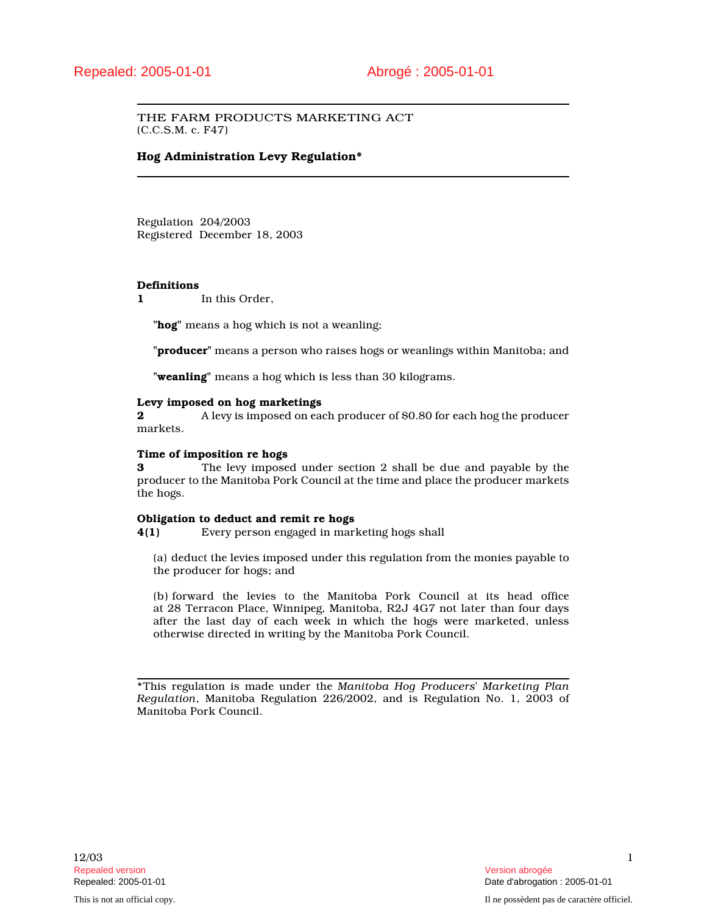# THE FARM PRODUCTS MARKETING ACT (C.C.S.M. c. F47)

# **Hog Administration Levy Regulation\***

Regulation 204/2003 Registered December 18, 2003

## **Definitions**

**1** In this Order,

**"hog"** means a hog which is not a weanling;

**"producer"** means a person who raises hogs or weanlings within Manitoba; and

**"weanling"** means a hog which is less than 30 kilograms.

#### **Levy imposed on hog marketings**

**2** A levy is imposed on each producer of \$0.80 for each hog the producer markets.

### **Time of imposition re hogs**

**3** The levy imposed under section 2 shall be due and payable by the producer to the Manitoba Pork Council at the time and place the producer markets the hogs.

#### **Obligation to deduct and remit re hogs**

**4(1)** Every person engaged in marketing hogs shall

(a) deduct the levies imposed under this regulation from the monies payable to the producer for hogs; and

(b) forward the levies to the Manitoba Pork Council at its head office at 28 Terracon Place, Winnipeg, Manitoba, R2J 4G7 not later than four days after the last day of each week in which the hogs were marketed, unless otherwise directed in writing by the Manitoba Pork Council.

\*This regulation is made under the *Manitoba Hog Producers' Marketing Plan Regulation*, Manitoba Regulation 226/2002, and is Regulation No. 1, 2003 of Manitoba Pork Council.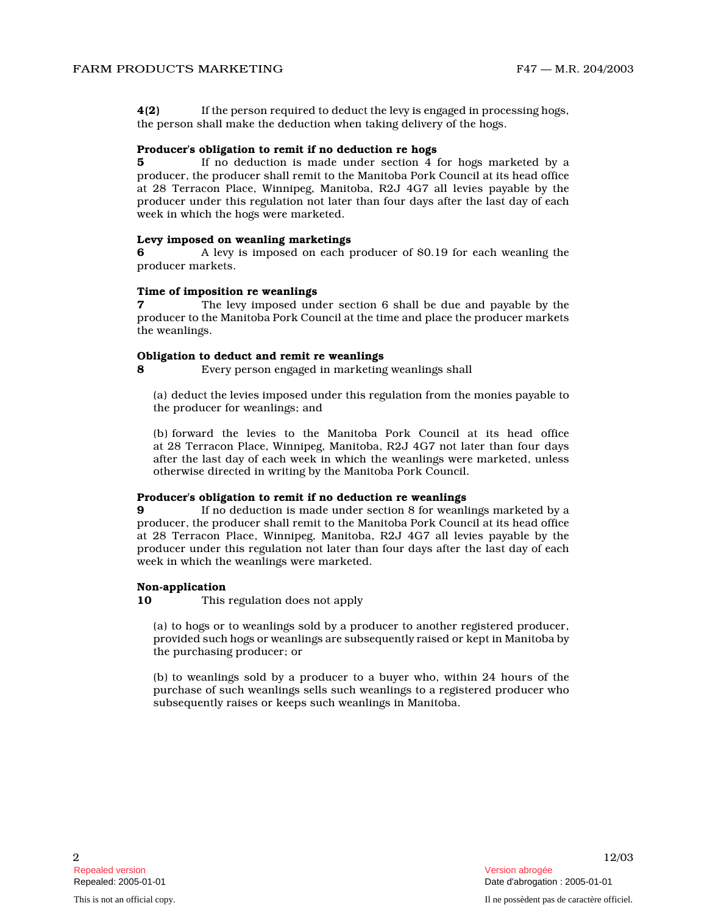**4(2)** If the person required to deduct the levy is engaged in processing hogs, the person shall make the deduction when taking delivery of the hogs.

#### **Producer's obligation to remit if no deduction re hogs**

**5** If no deduction is made under section 4 for hogs marketed by a producer, the producer shall remit to the Manitoba Pork Council at its head office at 28 Terracon Place, Winnipeg, Manitoba, R2J 4G7 all levies payable by the producer under this regulation not later than four days after the last day of each week in which the hogs were marketed.

### **Levy imposed on weanling marketings**

**6** A levy is imposed on each producer of \$0.19 for each weanling the producer markets.

#### **Time of imposition re weanlings**

**7** The levy imposed under section 6 shall be due and payable by the producer to the Manitoba Pork Council at the time and place the producer markets the weanlings.

#### **Obligation to deduct and remit re weanlings**

**8** Every person engaged in marketing weanlings shall

(a) deduct the levies imposed under this regulation from the monies payable to the producer for weanlings; and

(b) forward the levies to the Manitoba Pork Council at its head office at 28 Terracon Place, Winnipeg, Manitoba, R2J 4G7 not later than four days after the last day of each week in which the weanlings were marketed, unless otherwise directed in writing by the Manitoba Pork Council.

## **Producer's obligation to remit if no deduction re weanlings**

**9** If no deduction is made under section 8 for weanlings marketed by a producer, the producer shall remit to the Manitoba Pork Council at its head office at 28 Terracon Place, Winnipeg, Manitoba, R2J 4G7 all levies payable by the producer under this regulation not later than four days after the last day of each week in which the weanlings were marketed.

## **Non-application**

**10** This regulation does not apply

(a) to hogs or to weanlings sold by a producer to another registered producer, provided such hogs or weanlings are subsequently raised or kept in Manitoba by the purchasing producer; or

(b) to weanlings sold by a producer to a buyer who, within 24 hours of the purchase of such weanlings sells such weanlings to a registered producer who subsequently raises or keeps such weanlings in Manitoba.